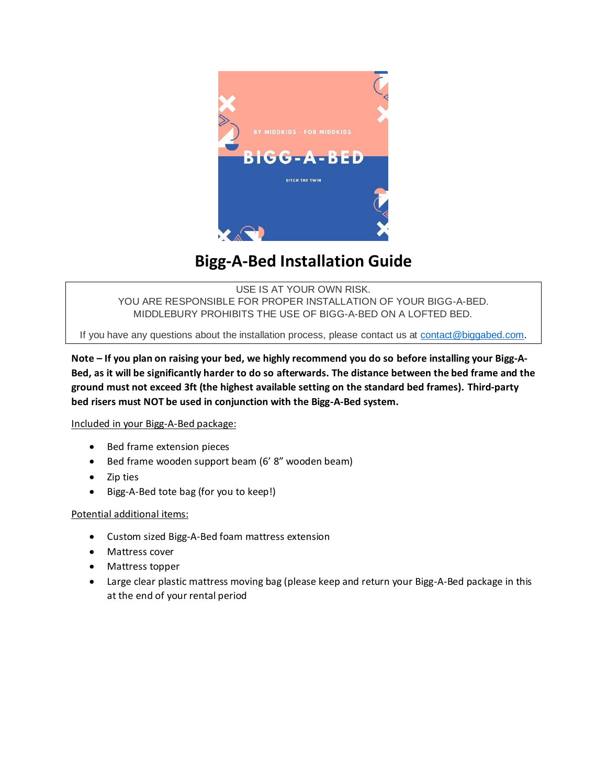

## **Bigg-A-Bed Installation Guide**

USE IS AT YOUR OWN RISK. YOU ARE RESPONSIBLE FOR PROPER INSTALLATION OF YOUR BIGG-A-BED. MIDDLEBURY PROHIBITS THE USE OF BIGG-A-BED ON A LOFTED BED.

If you have any questions about the installation process, please contact us at [contact@biggabed.com](mailto:contact@biggabed.com).

**Note – If you plan on raising your bed, we highly recommend you do so before installing your Bigg-A-Bed, as it will be significantly harder to do so afterwards. The distance between the bed frame and the ground must not exceed 3ft (the highest available setting on the standard bed frames). Third-party bed risers must NOT be used in conjunction with the Bigg-A-Bed system.** 

Included in your Bigg-A-Bed package:

- Bed frame extension pieces
- Bed frame wooden support beam (6' 8" wooden beam)
- Zip ties
- Bigg-A-Bed tote bag (for you to keep!)

#### Potential additional items:

- Custom sized Bigg-A-Bed foam mattress extension
- Mattress cover
- Mattress topper
- Large clear plastic mattress moving bag (please keep and return your Bigg-A-Bed package in this at the end of your rental period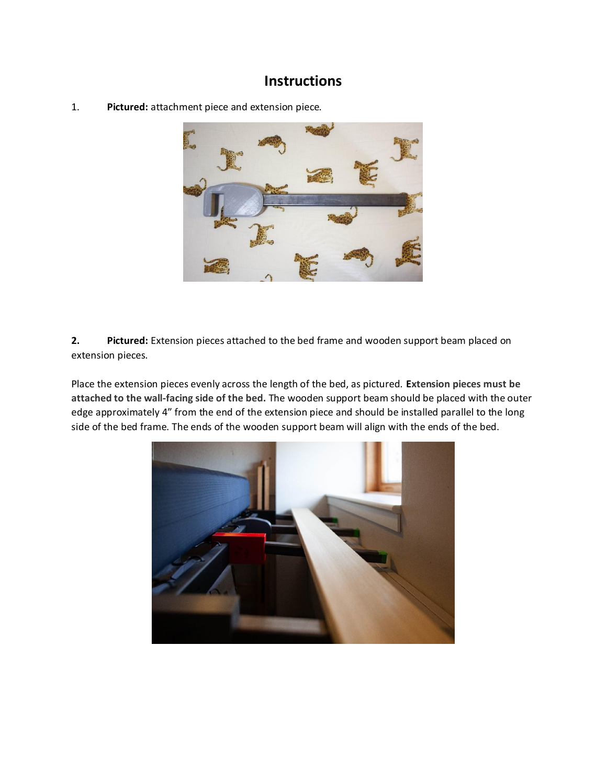### **Instructions**

1. **Pictured:** attachment piece and extension piece.



**2. Pictured:** Extension pieces attached to the bed frame and wooden support beam placed on extension pieces.

Place the extension pieces evenly across the length of the bed, as pictured. **Extension pieces must be attached to the wall-facing side of the bed.** The wooden support beam should be placed with the outer edge approximately 4" from the end of the extension piece and should be installed parallel to the long side of the bed frame. The ends of the wooden support beam will align with the ends of the bed.

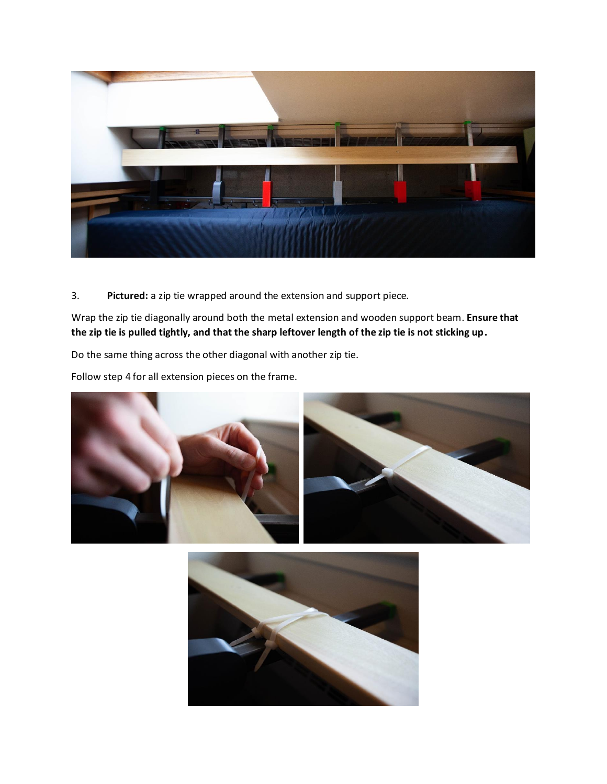

3. **Pictured:** a zip tie wrapped around the extension and support piece.

Wrap the zip tie diagonally around both the metal extension and wooden support beam. **Ensure that the zip tie is pulled tightly, and that the sharp leftover length of the zip tie is not sticking up.** 

Do the same thing across the other diagonal with another zip tie.

Follow step 4 for all extension pieces on the frame.



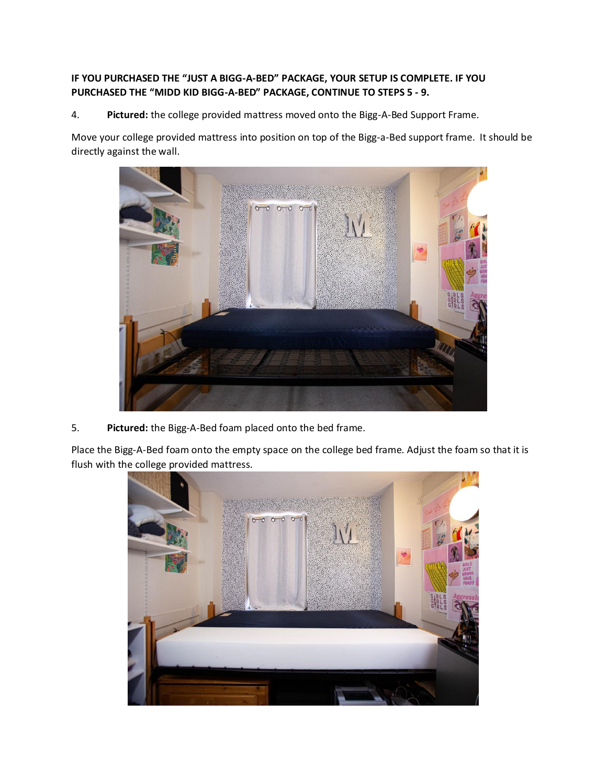### **IF YOU PURCHASED THE "JUST A BIGG-A-BED" PACKAGE, YOUR SETUP IS COMPLETE. IF YOU PURCHASED THE "MIDD KID BIGG-A-BED" PACKAGE, CONTINUE TO STEPS 5 - 9.**

4. **Pictured:** the college provided mattress moved onto the Bigg-A-Bed Support Frame.

Move your college provided mattress into position on top of the Bigg-a-Bed support frame. It should be directly against the wall.



5. **Pictured:** the Bigg-A-Bed foam placed onto the bed frame.

Place the Bigg-A-Bed foam onto the empty space on the college bed frame. Adjust the foam so that it is flush with the college provided mattress.

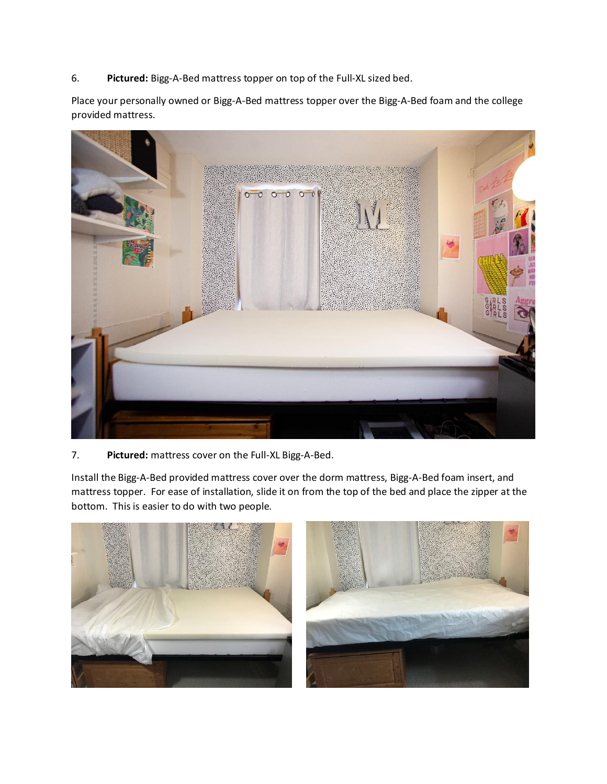6. **Pictured:** Bigg-A-Bed mattress topper on top of the Full-XL sized bed.

Place your personally owned or Bigg-A-Bed mattress topper over the Bigg-A-Bed foam and the college provided mattress.



#### 7. **Pictured:** mattress cover on the Full-XL Bigg-A-Bed.

Install the Bigg-A-Bed provided mattress cover over the dorm mattress, Bigg-A-Bed foam insert, and mattress topper. For ease of installation, slide it on from the top of the bed and place the zipper at the bottom. This is easier to do with two people.